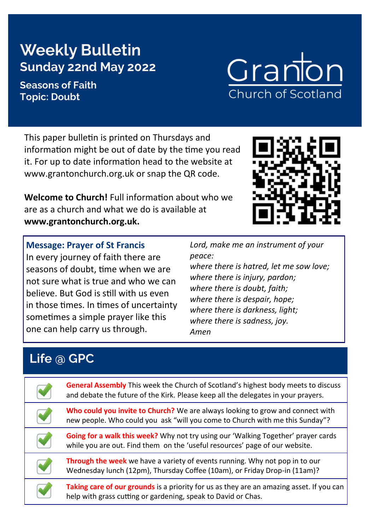# **Weekly Bulletin Sunday 22nd May 2022**

#### **Seasons of Faith Topic: Doubt**

This paper bulletin is printed on Thursdays and information might be out of date by the time you read it. For up to date information head to the website at www.grantonchurch.org.uk or snap the QR code.

**Welcome to Church!** Full information about who we are as a church and what we do is available at **www.grantonchurch.org.uk.** 

**Message: Prayer of St Francis** In every journey of faith there are seasons of doubt, time when we are not sure what is true and who we can believe. But God is still with us even in those times. In times of uncertainty sometimes a simple prayer like this one can help carry us through.

*peace: where there is hatred, let me sow love;*

*where there is injury, pardon; where there is doubt, faith; where there is despair, hope; where there is darkness, light; where there is sadness, joy. Amen*

## **Life @ GPC**

**General Assembly** This week the Church of Scotland's highest body meets to discuss and debate the future of the Kirk. Please keep all the delegates in your prayers. **Who could you invite to Church?** We are always looking to grow and connect with new people. Who could you ask "will you come to Church with me this Sunday"?

**Going for a walk this week?** Why not try using our 'Walking Together' prayer cards while you are out. Find them on the 'useful resources' page of our website.

**Through the week** we have a variety of events running. Why not pop in to our Wednesday lunch (12pm), Thursday Coffee (10am), or Friday Drop-in (11am)?

**Taking care of our grounds** is a priority for us as they are an amazing asset. If you can help with grass cutting or gardening, speak to David or Chas.